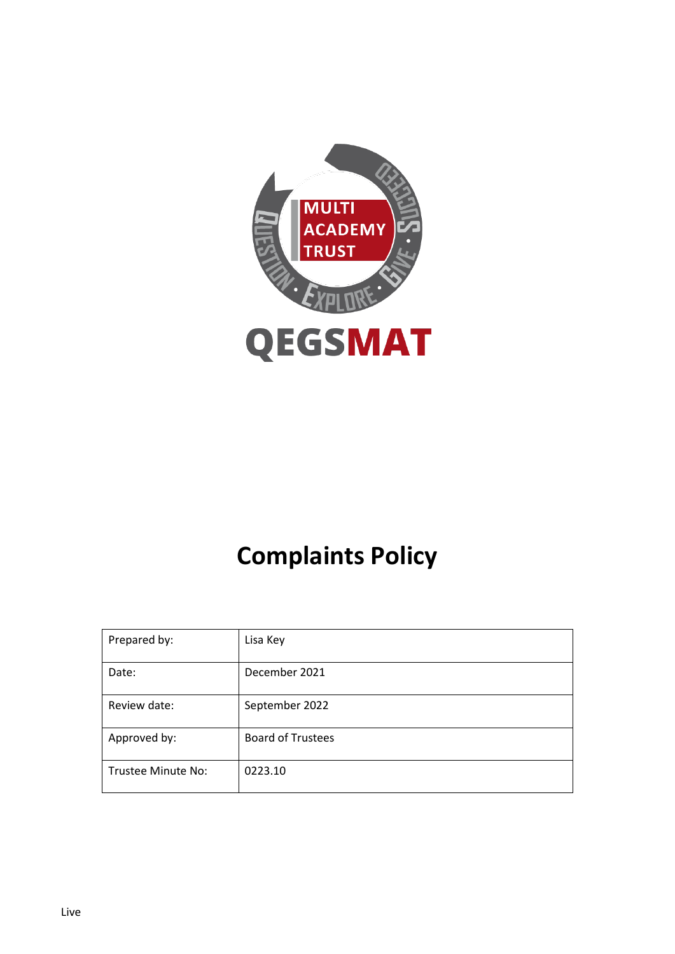

# **Complaints Policy**

| Prepared by:       | Lisa Key                 |
|--------------------|--------------------------|
| Date:              | December 2021            |
| Review date:       | September 2022           |
| Approved by:       | <b>Board of Trustees</b> |
| Trustee Minute No: | 0223.10                  |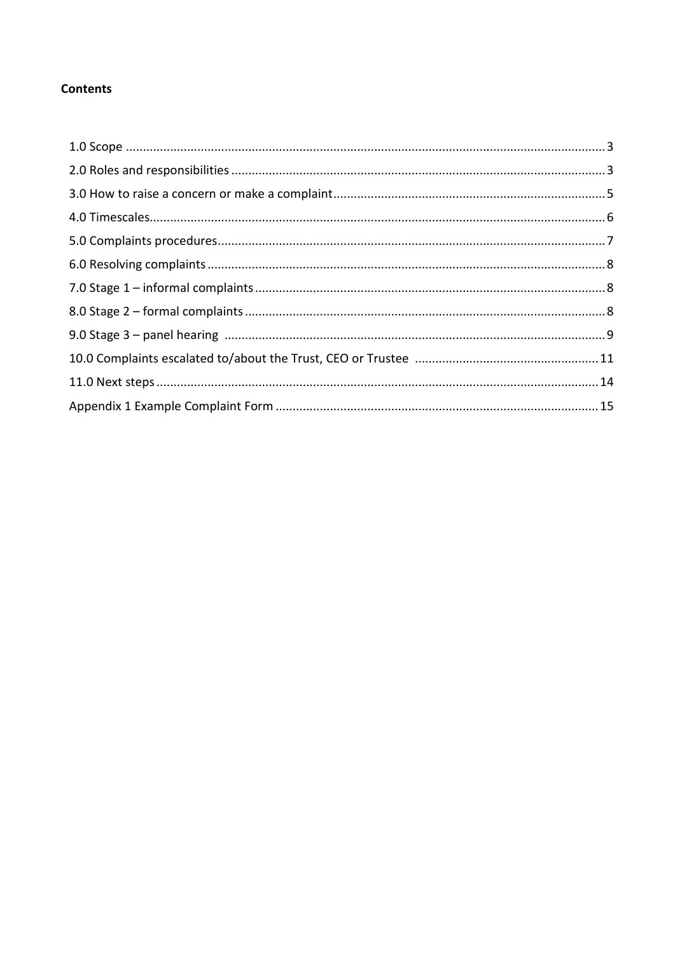# **Contents**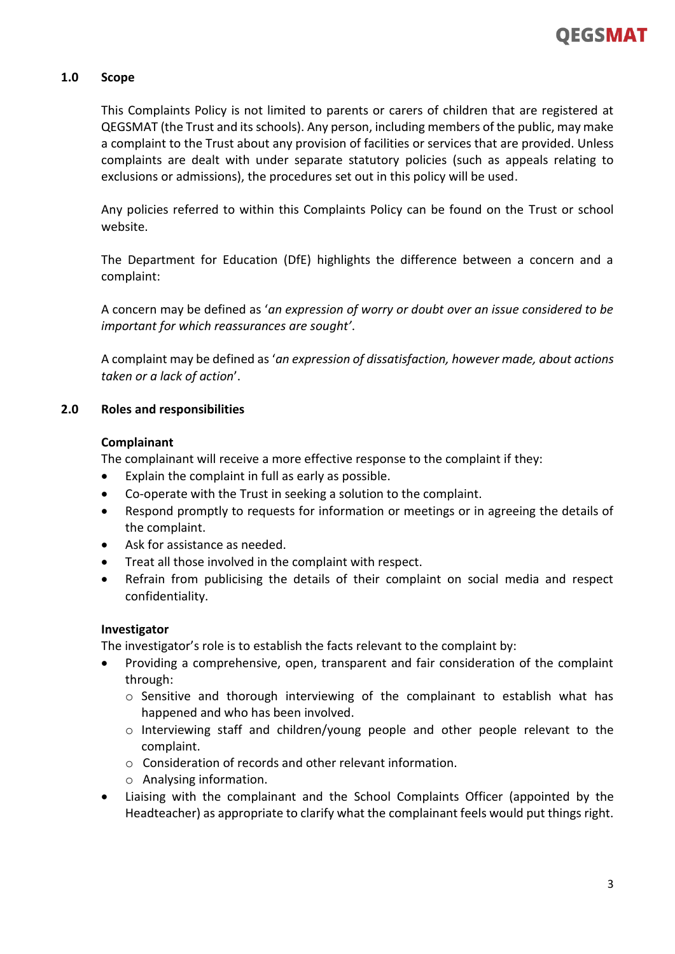# **1.0 Scope**

This Complaints Policy is not limited to parents or carers of children that are registered at QEGSMAT (the Trust and its schools). Any person, including members of the public, may make a complaint to the Trust about any provision of facilities or services that are provided. Unless complaints are dealt with under separate statutory policies (such as appeals relating to exclusions or admissions), the procedures set out in this policy will be used.

Any policies referred to within this Complaints Policy can be found on the Trust or school website.

The Department for Education (DfE) highlights the difference between a concern and a complaint:

A concern may be defined as '*an expression of worry or doubt over an issue considered to be important for which reassurances are sought'*.

A complaint may be defined as '*an expression of dissatisfaction, however made, about actions taken or a lack of action*'.

# **2.0 Roles and responsibilities**

### **Complainant**

The complainant will receive a more effective response to the complaint if they:

- Explain the complaint in full as early as possible.
- Co-operate with the Trust in seeking a solution to the complaint.
- Respond promptly to requests for information or meetings or in agreeing the details of the complaint.
- Ask for assistance as needed.
- Treat all those involved in the complaint with respect.
- Refrain from publicising the details of their complaint on social media and respect confidentiality.

#### **Investigator**

The investigator's role is to establish the facts relevant to the complaint by:

- Providing a comprehensive, open, transparent and fair consideration of the complaint through:
	- o Sensitive and thorough interviewing of the complainant to establish what has happened and who has been involved.
	- o Interviewing staff and children/young people and other people relevant to the complaint.
	- o Consideration of records and other relevant information.
	- o Analysing information.
- Liaising with the complainant and the School Complaints Officer (appointed by the Headteacher) as appropriate to clarify what the complainant feels would put things right.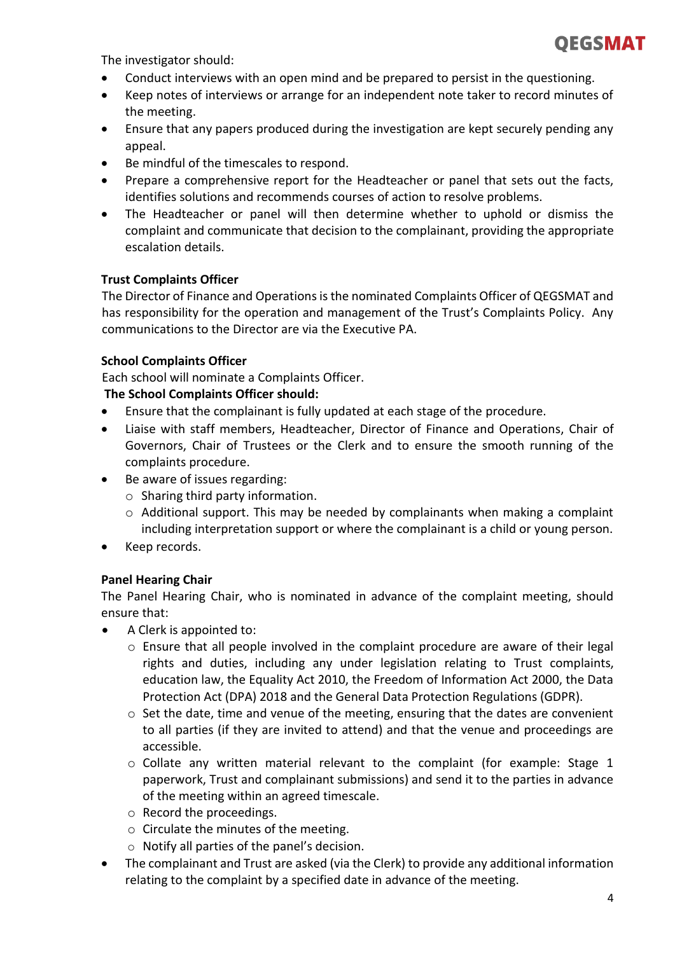

The investigator should:

- Conduct interviews with an open mind and be prepared to persist in the questioning.
- Keep notes of interviews or arrange for an independent note taker to record minutes of the meeting.
- Ensure that any papers produced during the investigation are kept securely pending any appeal.
- Be mindful of the timescales to respond.
- Prepare a comprehensive report for the Headteacher or panel that sets out the facts, identifies solutions and recommends courses of action to resolve problems.
- The Headteacher or panel will then determine whether to uphold or dismiss the complaint and communicate that decision to the complainant, providing the appropriate escalation details.

# **Trust Complaints Officer**

The Director of Finance and Operations is the nominated Complaints Officer of QEGSMAT and has responsibility for the operation and management of the Trust's Complaints Policy. Any communications to the Director are via the Executive PA.

### **School Complaints Officer**

Each school will nominate a Complaints Officer.

### **The School Complaints Officer should:**

- Ensure that the complainant is fully updated at each stage of the procedure.
- Liaise with staff members, Headteacher, Director of Finance and Operations, Chair of Governors, Chair of Trustees or the Clerk and to ensure the smooth running of the complaints procedure.
- Be aware of issues regarding:
	- o Sharing third party information.
	- o Additional support. This may be needed by complainants when making a complaint including interpretation support or where the complainant is a child or young person.
- Keep records.

# **Panel Hearing Chair**

The Panel Hearing Chair, who is nominated in advance of the complaint meeting, should ensure that:

- A Clerk is appointed to:
	- $\circ$  Ensure that all people involved in the complaint procedure are aware of their legal rights and duties, including any under legislation relating to Trust complaints, education law, the Equality Act 2010, the Freedom of Information Act 2000, the Data Protection Act (DPA) 2018 and the General Data Protection Regulations (GDPR).
	- $\circ$  Set the date, time and venue of the meeting, ensuring that the dates are convenient to all parties (if they are invited to attend) and that the venue and proceedings are accessible.
	- $\circ$  Collate any written material relevant to the complaint (for example: Stage 1 paperwork, Trust and complainant submissions) and send it to the parties in advance of the meeting within an agreed timescale.
	- o Record the proceedings.
	- o Circulate the minutes of the meeting.
	- o Notify all parties of the panel's decision.
- The complainant and Trust are asked (via the Clerk) to provide any additional information relating to the complaint by a specified date in advance of the meeting.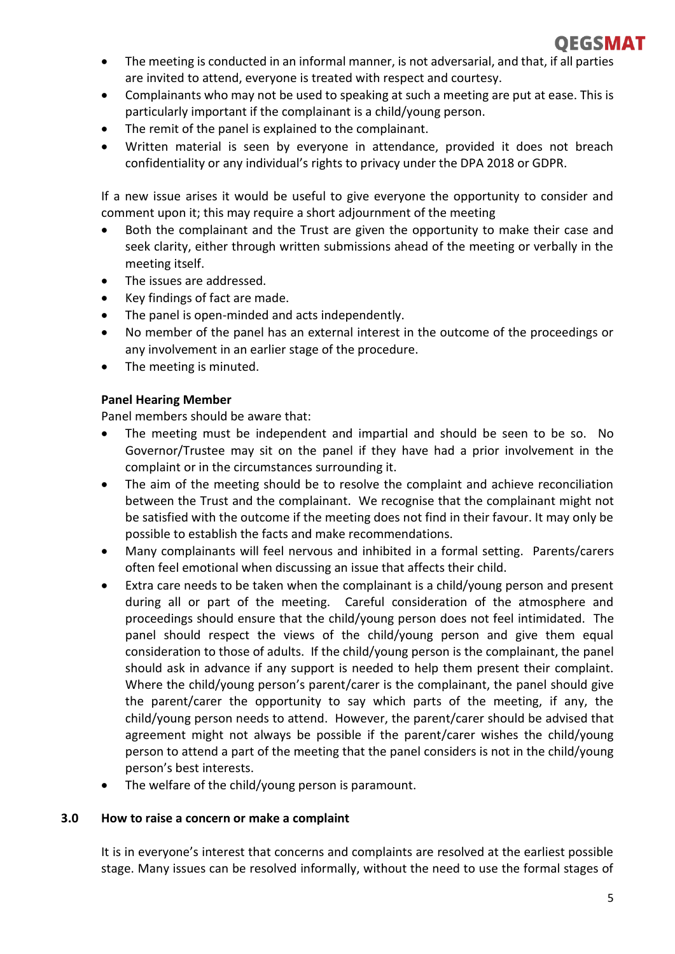

- The meeting is conducted in an informal manner, is not adversarial, and that, if all parties are invited to attend, everyone is treated with respect and courtesy.
- Complainants who may not be used to speaking at such a meeting are put at ease. This is particularly important if the complainant is a child/young person.
- The remit of the panel is explained to the complainant.
- Written material is seen by everyone in attendance, provided it does not breach confidentiality or any individual's rights to privacy under the DPA 2018 or GDPR.

If a new issue arises it would be useful to give everyone the opportunity to consider and comment upon it; this may require a short adjournment of the meeting

- Both the complainant and the Trust are given the opportunity to make their case and seek clarity, either through written submissions ahead of the meeting or verbally in the meeting itself.
- The issues are addressed.
- Key findings of fact are made.
- The panel is open-minded and acts independently.
- No member of the panel has an external interest in the outcome of the proceedings or any involvement in an earlier stage of the procedure.
- The meeting is minuted.

# **Panel Hearing Member**

Panel members should be aware that:

- The meeting must be independent and impartial and should be seen to be so. No Governor/Trustee may sit on the panel if they have had a prior involvement in the complaint or in the circumstances surrounding it.
- The aim of the meeting should be to resolve the complaint and achieve reconciliation between the Trust and the complainant. We recognise that the complainant might not be satisfied with the outcome if the meeting does not find in their favour. It may only be possible to establish the facts and make recommendations.
- Many complainants will feel nervous and inhibited in a formal setting. Parents/carers often feel emotional when discussing an issue that affects their child.
- Extra care needs to be taken when the complainant is a child/young person and present during all or part of the meeting. Careful consideration of the atmosphere and proceedings should ensure that the child/young person does not feel intimidated. The panel should respect the views of the child/young person and give them equal consideration to those of adults. If the child/young person is the complainant, the panel should ask in advance if any support is needed to help them present their complaint. Where the child/young person's parent/carer is the complainant, the panel should give the parent/carer the opportunity to say which parts of the meeting, if any, the child/young person needs to attend. However, the parent/carer should be advised that agreement might not always be possible if the parent/carer wishes the child/young person to attend a part of the meeting that the panel considers is not in the child/young person's best interests.
- The welfare of the child/young person is paramount.

# **3.0 How to raise a concern or make a complaint**

It is in everyone's interest that concerns and complaints are resolved at the earliest possible stage. Many issues can be resolved informally, without the need to use the formal stages of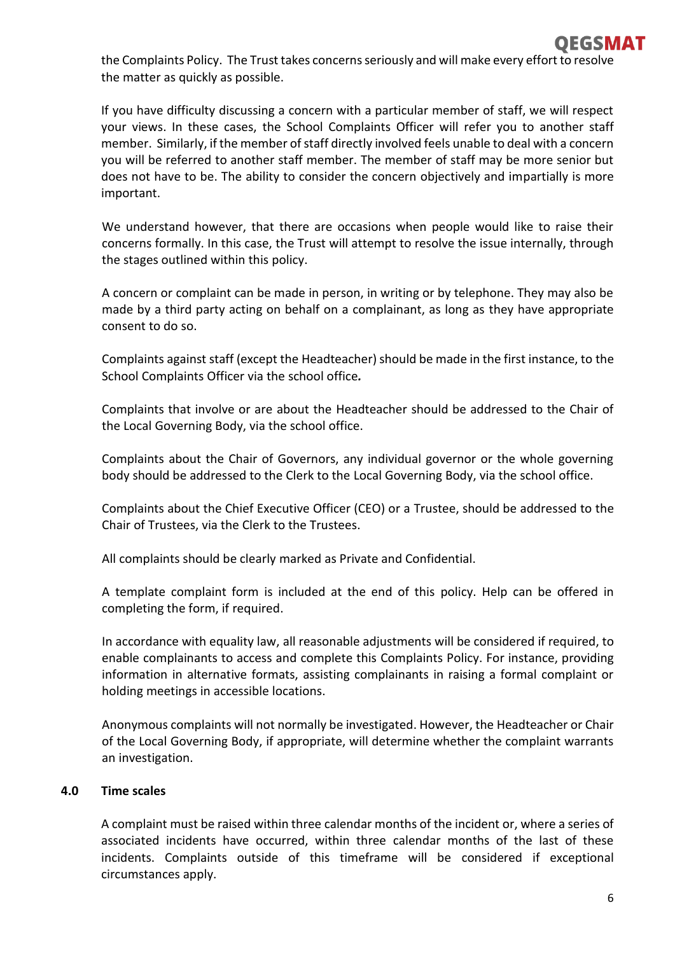the Complaints Policy. The Trust takes concerns seriously and will make every effort to resolve the matter as quickly as possible.

If you have difficulty discussing a concern with a particular member of staff, we will respect your views. In these cases, the School Complaints Officer will refer you to another staff member. Similarly, if the member of staff directly involved feels unable to deal with a concern you will be referred to another staff member. The member of staff may be more senior but does not have to be. The ability to consider the concern objectively and impartially is more important.

We understand however, that there are occasions when people would like to raise their concerns formally. In this case, the Trust will attempt to resolve the issue internally, through the stages outlined within this policy.

A concern or complaint can be made in person, in writing or by telephone. They may also be made by a third party acting on behalf on a complainant, as long as they have appropriate consent to do so.

Complaints against staff (except the Headteacher) should be made in the first instance, to the School Complaints Officer via the school office*.*

Complaints that involve or are about the Headteacher should be addressed to the Chair of the Local Governing Body, via the school office.

Complaints about the Chair of Governors, any individual governor or the whole governing body should be addressed to the Clerk to the Local Governing Body, via the school office.

Complaints about the Chief Executive Officer (CEO) or a Trustee, should be addressed to the Chair of Trustees, via the Clerk to the Trustees.

All complaints should be clearly marked as Private and Confidential.

A template complaint form is included at the end of this policy. Help can be offered in completing the form, if required.

In accordance with equality law, all reasonable adjustments will be considered if required, to enable complainants to access and complete this Complaints Policy. For instance, providing information in alternative formats, assisting complainants in raising a formal complaint or holding meetings in accessible locations.

Anonymous complaints will not normally be investigated. However, the Headteacher or Chair of the Local Governing Body, if appropriate, will determine whether the complaint warrants an investigation.

# **4.0 Time scales**

A complaint must be raised within three calendar months of the incident or, where a series of associated incidents have occurred, within three calendar months of the last of these incidents. Complaints outside of this timeframe will be considered if exceptional circumstances apply.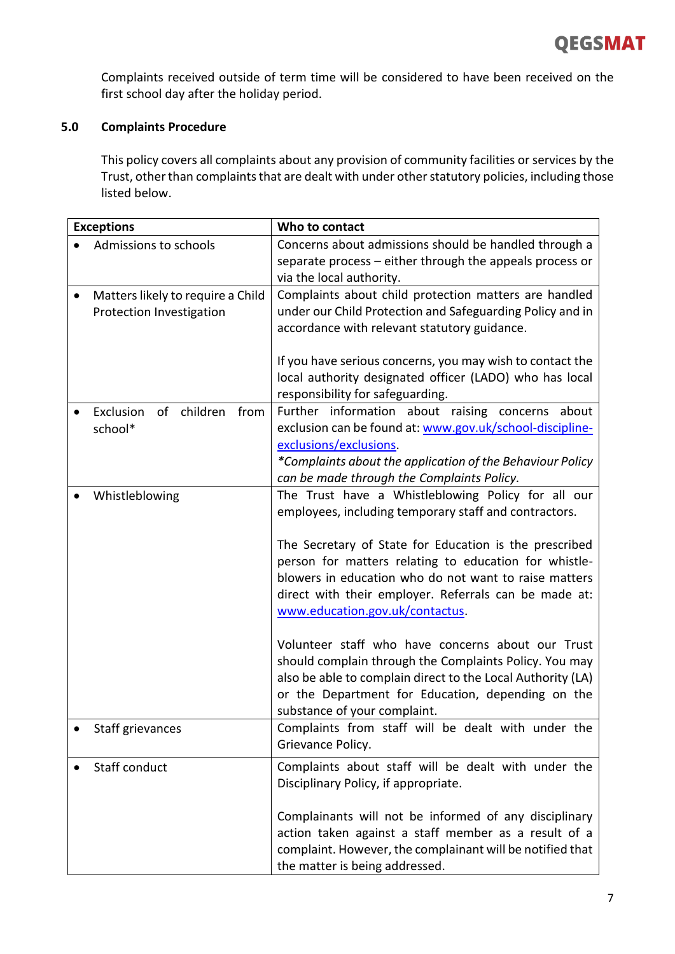Complaints received outside of term time will be considered to have been received on the first school day after the holiday period.

# **5.0 Complaints Procedure**

This policy covers all complaints about any provision of community facilities or services by the Trust, other than complaints that are dealt with under other statutory policies, including those listed below.

| <b>Exceptions</b>                                             | Who to contact                                                                                                                                                                                                                                                                                                                                                                                                                                                                                                                                                                                                                                         |
|---------------------------------------------------------------|--------------------------------------------------------------------------------------------------------------------------------------------------------------------------------------------------------------------------------------------------------------------------------------------------------------------------------------------------------------------------------------------------------------------------------------------------------------------------------------------------------------------------------------------------------------------------------------------------------------------------------------------------------|
| Admissions to schools                                         | Concerns about admissions should be handled through a<br>separate process - either through the appeals process or<br>via the local authority.                                                                                                                                                                                                                                                                                                                                                                                                                                                                                                          |
| Matters likely to require a Child<br>Protection Investigation | Complaints about child protection matters are handled<br>under our Child Protection and Safeguarding Policy and in<br>accordance with relevant statutory guidance.<br>If you have serious concerns, you may wish to contact the<br>local authority designated officer (LADO) who has local<br>responsibility for safeguarding.                                                                                                                                                                                                                                                                                                                         |
| Exclusion<br>of children<br>from<br>school*                   | Further information about raising concerns about<br>exclusion can be found at: www.gov.uk/school-discipline-<br>exclusions/exclusions.<br>*Complaints about the application of the Behaviour Policy<br>can be made through the Complaints Policy.                                                                                                                                                                                                                                                                                                                                                                                                      |
| Whistleblowing                                                | The Trust have a Whistleblowing Policy for all our<br>employees, including temporary staff and contractors.<br>The Secretary of State for Education is the prescribed<br>person for matters relating to education for whistle-<br>blowers in education who do not want to raise matters<br>direct with their employer. Referrals can be made at:<br>www.education.gov.uk/contactus.<br>Volunteer staff who have concerns about our Trust<br>should complain through the Complaints Policy. You may<br>also be able to complain direct to the Local Authority (LA)<br>or the Department for Education, depending on the<br>substance of your complaint. |
| Staff grievances                                              | Complaints from staff will be dealt with under the<br>Grievance Policy.                                                                                                                                                                                                                                                                                                                                                                                                                                                                                                                                                                                |
| Staff conduct                                                 | Complaints about staff will be dealt with under the<br>Disciplinary Policy, if appropriate.<br>Complainants will not be informed of any disciplinary<br>action taken against a staff member as a result of a<br>complaint. However, the complainant will be notified that<br>the matter is being addressed.                                                                                                                                                                                                                                                                                                                                            |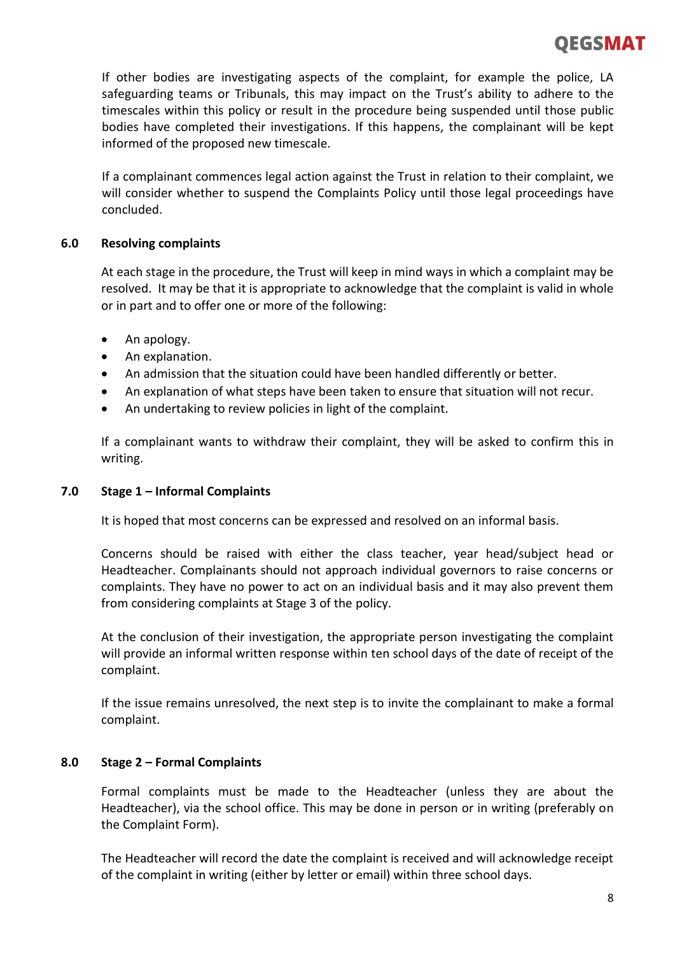# OEGSMAT

If other bodies are investigating aspects of the complaint, for example the police, LA safeguarding teams or Tribunals, this may impact on the Trust's ability to adhere to the timescales within this policy or result in the procedure being suspended until those public bodies have completed their investigations. If this happens, the complainant will be kept informed of the proposed new timescale.

If a complainant commences legal action against the Trust in relation to their complaint, we will consider whether to suspend the Complaints Policy until those legal proceedings have concluded.

# **6.0 Resolving complaints**

At each stage in the procedure, the Trust will keep in mind ways in which a complaint may be resolved. It may be that it is appropriate to acknowledge that the complaint is valid in whole or in part and to offer one or more of the following:

- An apology.
- An explanation.
- An admission that the situation could have been handled differently or better.
- An explanation of what steps have been taken to ensure that situation will not recur.
- An undertaking to review policies in light of the complaint.

If a complainant wants to withdraw their complaint, they will be asked to confirm this in writing.

# **7.0 Stage 1 – Informal Complaints**

It is hoped that most concerns can be expressed and resolved on an informal basis.

Concerns should be raised with either the class teacher, year head/subject head or Headteacher. Complainants should not approach individual governors to raise concerns or complaints. They have no power to act on an individual basis and it may also prevent them from considering complaints at Stage 3 of the policy.

At the conclusion of their investigation, the appropriate person investigating the complaint will provide an informal written response within ten school days of the date of receipt of the complaint.

If the issue remains unresolved, the next step is to invite the complainant to make a formal complaint.

# **8.0 Stage 2 – Formal Complaints**

Formal complaints must be made to the Headteacher (unless they are about the Headteacher), via the school office. This may be done in person or in writing (preferably on the Complaint Form).

The Headteacher will record the date the complaint is received and will acknowledge receipt of the complaint in writing (either by letter or email) within three school days.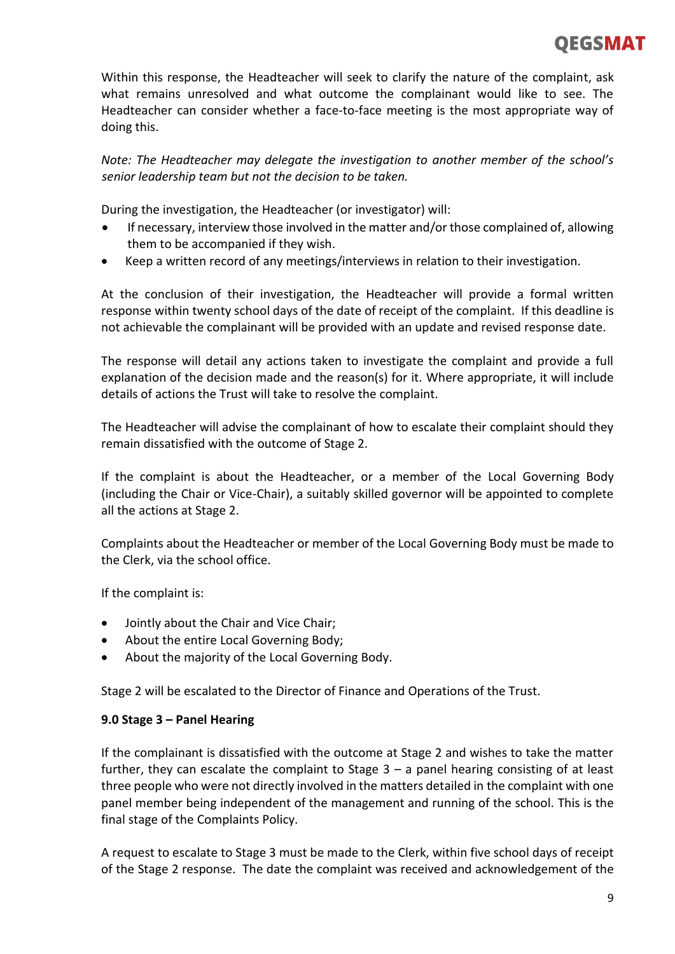Within this response, the Headteacher will seek to clarify the nature of the complaint, ask what remains unresolved and what outcome the complainant would like to see. The Headteacher can consider whether a face-to-face meeting is the most appropriate way of doing this.

*Note: The Headteacher may delegate the investigation to another member of the school's senior leadership team but not the decision to be taken.*

During the investigation, the Headteacher (or investigator) will:

- If necessary, interview those involved in the matter and/or those complained of, allowing them to be accompanied if they wish.
- Keep a written record of any meetings/interviews in relation to their investigation.

At the conclusion of their investigation, the Headteacher will provide a formal written response within twenty school days of the date of receipt of the complaint. If this deadline is not achievable the complainant will be provided with an update and revised response date.

The response will detail any actions taken to investigate the complaint and provide a full explanation of the decision made and the reason(s) for it. Where appropriate, it will include details of actions the Trust will take to resolve the complaint.

The Headteacher will advise the complainant of how to escalate their complaint should they remain dissatisfied with the outcome of Stage 2.

If the complaint is about the Headteacher, or a member of the Local Governing Body (including the Chair or Vice-Chair), a suitably skilled governor will be appointed to complete all the actions at Stage 2.

Complaints about the Headteacher or member of the Local Governing Body must be made to the Clerk, via the school office.

If the complaint is:

- Jointly about the Chair and Vice Chair;
- About the entire Local Governing Body;
- About the majority of the Local Governing Body.

Stage 2 will be escalated to the Director of Finance and Operations of the Trust.

# **9.0 Stage 3 – Panel Hearing**

If the complainant is dissatisfied with the outcome at Stage 2 and wishes to take the matter further, they can escalate the complaint to Stage  $3 - a$  panel hearing consisting of at least three people who were not directly involved in the matters detailed in the complaint with one panel member being independent of the management and running of the school. This is the final stage of the Complaints Policy.

A request to escalate to Stage 3 must be made to the Clerk, within five school days of receipt of the Stage 2 response. The date the complaint was received and acknowledgement of the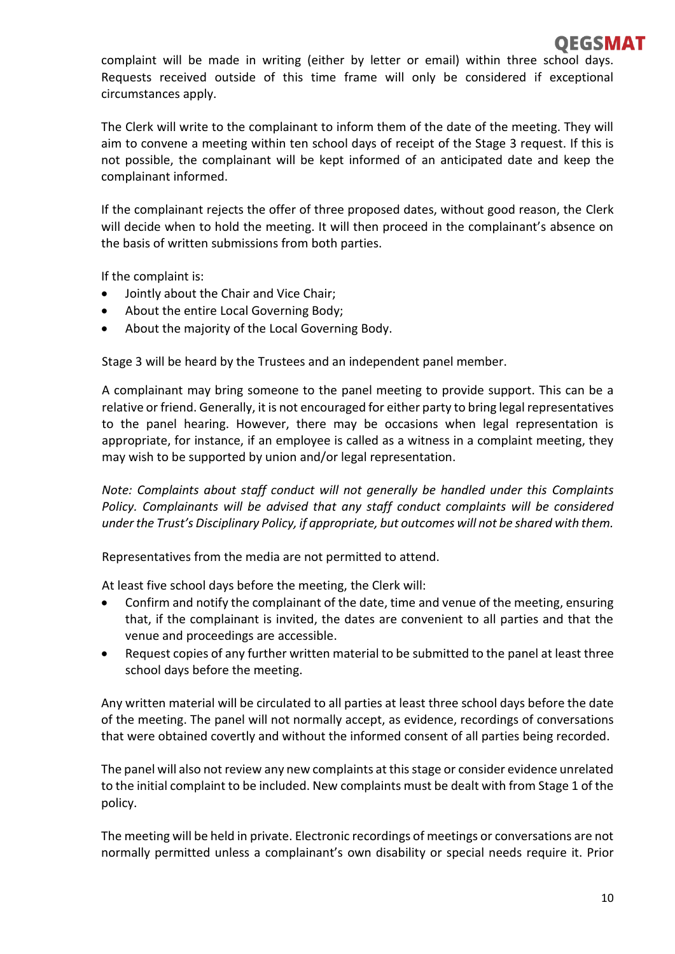

complaint will be made in writing (either by letter or email) within three school days. Requests received outside of this time frame will only be considered if exceptional circumstances apply.

The Clerk will write to the complainant to inform them of the date of the meeting. They will aim to convene a meeting within ten school days of receipt of the Stage 3 request. If this is not possible, the complainant will be kept informed of an anticipated date and keep the complainant informed.

If the complainant rejects the offer of three proposed dates, without good reason, the Clerk will decide when to hold the meeting. It will then proceed in the complainant's absence on the basis of written submissions from both parties.

If the complaint is:

- Jointly about the Chair and Vice Chair;
- About the entire Local Governing Body;
- About the majority of the Local Governing Body.

Stage 3 will be heard by the Trustees and an independent panel member.

A complainant may bring someone to the panel meeting to provide support. This can be a relative or friend. Generally, it is not encouraged for either party to bring legal representatives to the panel hearing. However, there may be occasions when legal representation is appropriate, for instance, if an employee is called as a witness in a complaint meeting, they may wish to be supported by union and/or legal representation.

*Note: Complaints about staff conduct will not generally be handled under this Complaints Policy. Complainants will be advised that any staff conduct complaints will be considered underthe Trust's Disciplinary Policy, if appropriate, but outcomes will not be shared with them.* 

Representatives from the media are not permitted to attend.

At least five school days before the meeting, the Clerk will:

- Confirm and notify the complainant of the date, time and venue of the meeting, ensuring that, if the complainant is invited, the dates are convenient to all parties and that the venue and proceedings are accessible.
- Request copies of any further written material to be submitted to the panel at least three school days before the meeting.

Any written material will be circulated to all parties at least three school days before the date of the meeting. The panel will not normally accept, as evidence, recordings of conversations that were obtained covertly and without the informed consent of all parties being recorded.

The panel will also not review any new complaints at this stage or consider evidence unrelated to the initial complaint to be included. New complaints must be dealt with from Stage 1 of the policy.

The meeting will be held in private. Electronic recordings of meetings or conversations are not normally permitted unless a complainant's own disability or special needs require it. Prior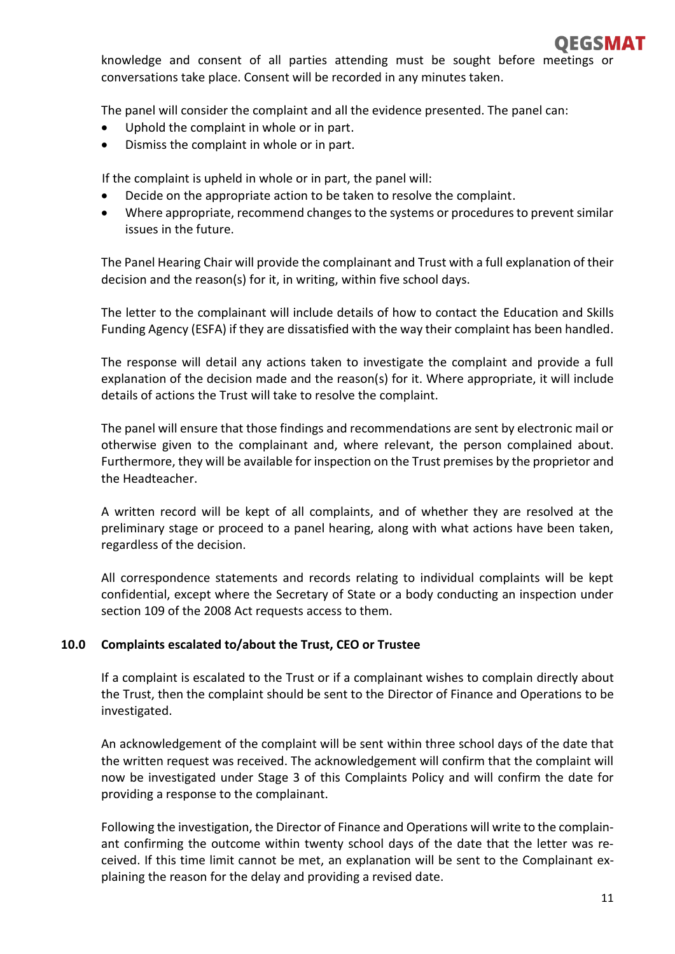knowledge and consent of all parties attending must be sought before meetings or conversations take place. Consent will be recorded in any minutes taken.

The panel will consider the complaint and all the evidence presented. The panel can:

- Uphold the complaint in whole or in part.
- Dismiss the complaint in whole or in part.

If the complaint is upheld in whole or in part, the panel will:

- Decide on the appropriate action to be taken to resolve the complaint.
- Where appropriate, recommend changes to the systems or procedures to prevent similar issues in the future.

The Panel Hearing Chair will provide the complainant and Trust with a full explanation of their decision and the reason(s) for it, in writing, within five school days.

The letter to the complainant will include details of how to contact the Education and Skills Funding Agency (ESFA) if they are dissatisfied with the way their complaint has been handled.

The response will detail any actions taken to investigate the complaint and provide a full explanation of the decision made and the reason(s) for it. Where appropriate, it will include details of actions the Trust will take to resolve the complaint.

The panel will ensure that those findings and recommendations are sent by electronic mail or otherwise given to the complainant and, where relevant, the person complained about. Furthermore, they will be available for inspection on the Trust premises by the proprietor and the Headteacher.

A written record will be kept of all complaints, and of whether they are resolved at the preliminary stage or proceed to a panel hearing, along with what actions have been taken, regardless of the decision.

All correspondence statements and records relating to individual complaints will be kept confidential, except where the Secretary of State or a body conducting an inspection under section 109 of the 2008 Act requests access to them.

# **10.0 Complaints escalated to/about the Trust, CEO or Trustee**

If a complaint is escalated to the Trust or if a complainant wishes to complain directly about the Trust, then the complaint should be sent to the Director of Finance and Operations to be investigated.

An acknowledgement of the complaint will be sent within three school days of the date that the written request was received. The acknowledgement will confirm that the complaint will now be investigated under Stage 3 of this Complaints Policy and will confirm the date for providing a response to the complainant.

Following the investigation, the Director of Finance and Operations will write to the complainant confirming the outcome within twenty school days of the date that the letter was received. If this time limit cannot be met, an explanation will be sent to the Complainant explaining the reason for the delay and providing a revised date.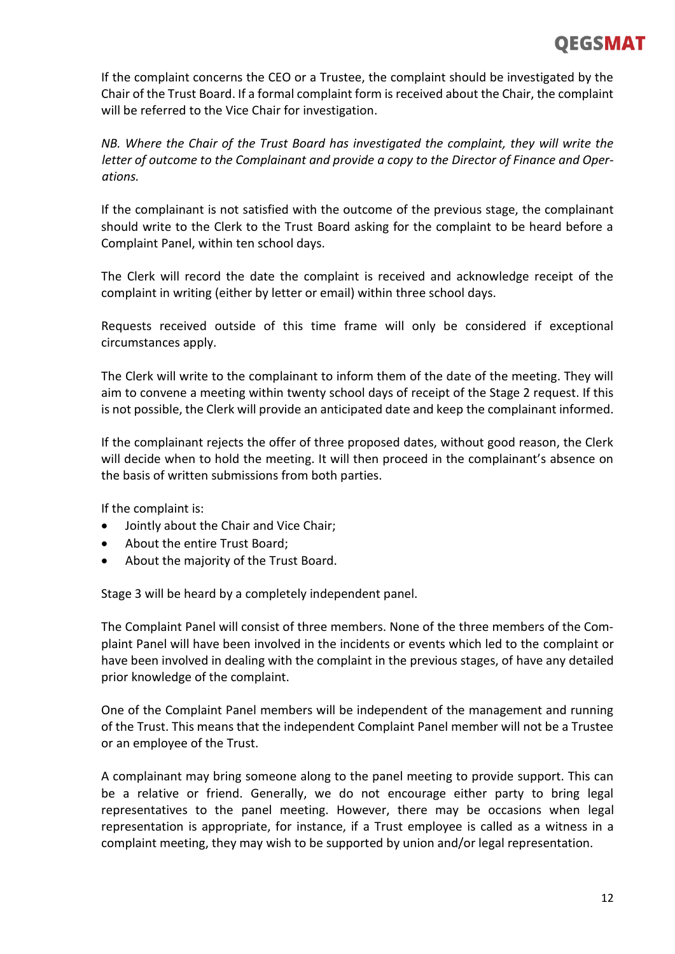# OEGSMAT

If the complaint concerns the CEO or a Trustee, the complaint should be investigated by the Chair of the Trust Board. If a formal complaint form is received about the Chair, the complaint will be referred to the Vice Chair for investigation.

*NB. Where the Chair of the Trust Board has investigated the complaint, they will write the letter of outcome to the Complainant and provide a copy to the Director of Finance and Operations.*

If the complainant is not satisfied with the outcome of the previous stage, the complainant should write to the Clerk to the Trust Board asking for the complaint to be heard before a Complaint Panel, within ten school days.

The Clerk will record the date the complaint is received and acknowledge receipt of the complaint in writing (either by letter or email) within three school days.

Requests received outside of this time frame will only be considered if exceptional circumstances apply.

The Clerk will write to the complainant to inform them of the date of the meeting. They will aim to convene a meeting within twenty school days of receipt of the Stage 2 request. If this is not possible, the Clerk will provide an anticipated date and keep the complainant informed.

If the complainant rejects the offer of three proposed dates, without good reason, the Clerk will decide when to hold the meeting. It will then proceed in the complainant's absence on the basis of written submissions from both parties.

If the complaint is:

- Jointly about the Chair and Vice Chair;
- About the entire Trust Board;
- About the majority of the Trust Board.

Stage 3 will be heard by a completely independent panel.

The Complaint Panel will consist of three members. None of the three members of the Complaint Panel will have been involved in the incidents or events which led to the complaint or have been involved in dealing with the complaint in the previous stages, of have any detailed prior knowledge of the complaint.

One of the Complaint Panel members will be independent of the management and running of the Trust. This means that the independent Complaint Panel member will not be a Trustee or an employee of the Trust.

A complainant may bring someone along to the panel meeting to provide support. This can be a relative or friend. Generally, we do not encourage either party to bring legal representatives to the panel meeting. However, there may be occasions when legal representation is appropriate, for instance, if a Trust employee is called as a witness in a complaint meeting, they may wish to be supported by union and/or legal representation.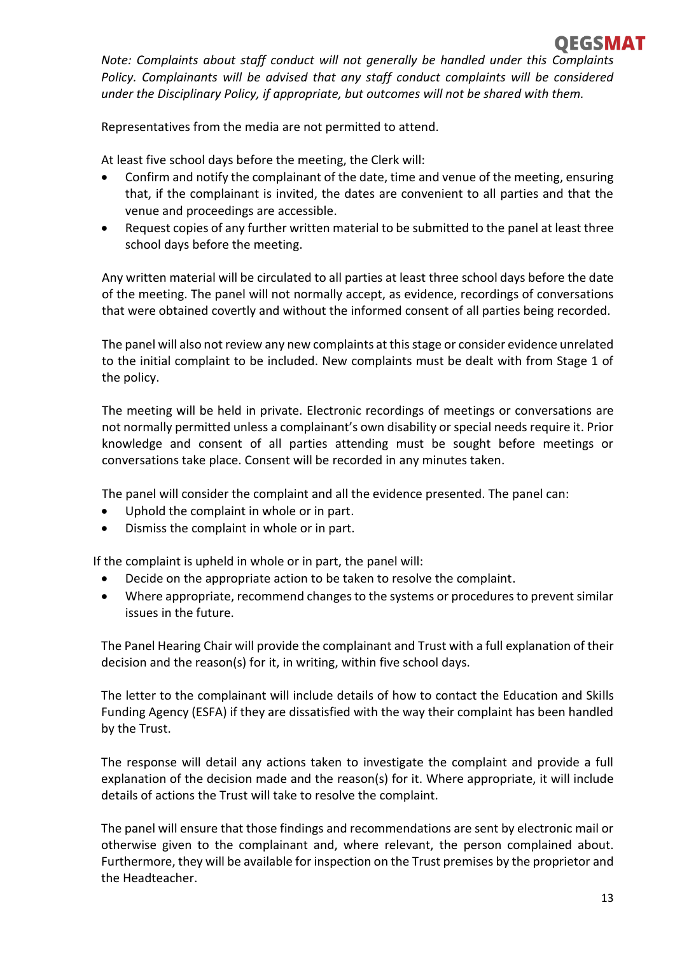

*Note: Complaints about staff conduct will not generally be handled under this Complaints Policy. Complainants will be advised that any staff conduct complaints will be considered under the Disciplinary Policy, if appropriate, but outcomes will not be shared with them.* 

Representatives from the media are not permitted to attend.

At least five school days before the meeting, the Clerk will:

- Confirm and notify the complainant of the date, time and venue of the meeting, ensuring that, if the complainant is invited, the dates are convenient to all parties and that the venue and proceedings are accessible.
- Request copies of any further written material to be submitted to the panel at least three school days before the meeting.

Any written material will be circulated to all parties at least three school days before the date of the meeting. The panel will not normally accept, as evidence, recordings of conversations that were obtained covertly and without the informed consent of all parties being recorded.

The panel will also not review any new complaints at this stage or consider evidence unrelated to the initial complaint to be included. New complaints must be dealt with from Stage 1 of the policy.

The meeting will be held in private. Electronic recordings of meetings or conversations are not normally permitted unless a complainant's own disability or special needs require it. Prior knowledge and consent of all parties attending must be sought before meetings or conversations take place. Consent will be recorded in any minutes taken.

The panel will consider the complaint and all the evidence presented. The panel can:

- Uphold the complaint in whole or in part.
- Dismiss the complaint in whole or in part.

If the complaint is upheld in whole or in part, the panel will:

- Decide on the appropriate action to be taken to resolve the complaint.
- Where appropriate, recommend changes to the systems or procedures to prevent similar issues in the future.

The Panel Hearing Chair will provide the complainant and Trust with a full explanation of their decision and the reason(s) for it, in writing, within five school days.

The letter to the complainant will include details of how to contact the Education and Skills Funding Agency (ESFA) if they are dissatisfied with the way their complaint has been handled by the Trust.

The response will detail any actions taken to investigate the complaint and provide a full explanation of the decision made and the reason(s) for it. Where appropriate, it will include details of actions the Trust will take to resolve the complaint.

The panel will ensure that those findings and recommendations are sent by electronic mail or otherwise given to the complainant and, where relevant, the person complained about. Furthermore, they will be available for inspection on the Trust premises by the proprietor and the Headteacher.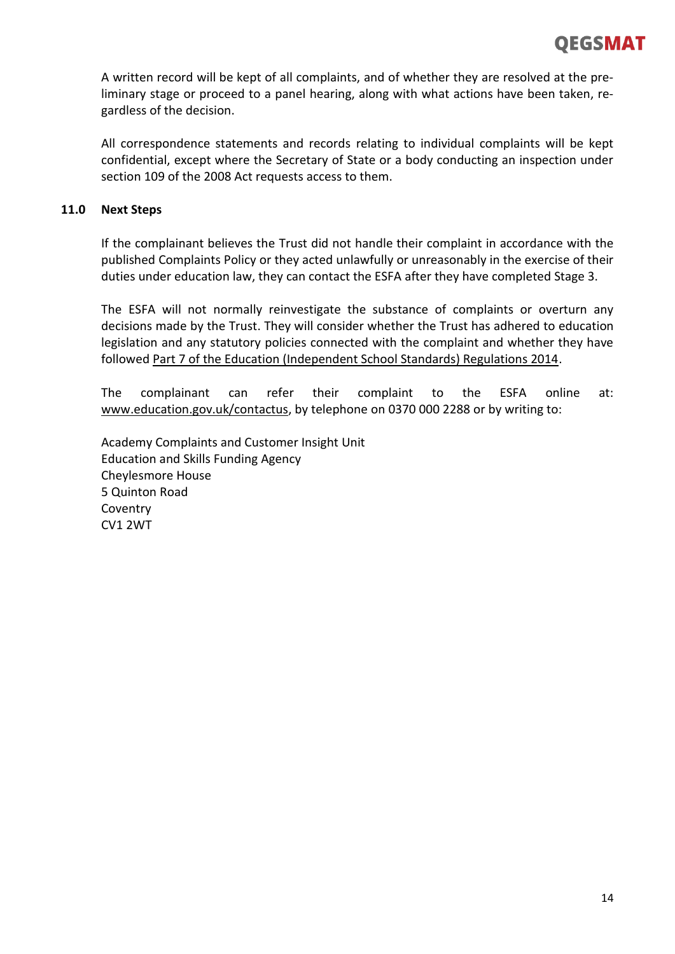

A written record will be kept of all complaints, and of whether they are resolved at the preliminary stage or proceed to a panel hearing, along with what actions have been taken, regardless of the decision.

All correspondence statements and records relating to individual complaints will be kept confidential, except where the Secretary of State or a body conducting an inspection under section 109 of the 2008 Act requests access to them.

### **11.0 Next Steps**

If the complainant believes the Trust did not handle their complaint in accordance with the published Complaints Policy or they acted unlawfully or unreasonably in the exercise of their duties under education law, they can contact the ESFA after they have completed Stage 3.

The ESFA will not normally reinvestigate the substance of complaints or overturn any decisions made by the Trust. They will consider whether the Trust has adhered to education legislation and any statutory policies connected with the complaint and whether they have followe[d Part 7 of the Education \(Independent School Standards\) Regulations 2014.](http://www.legislation.gov.uk/uksi/2010/1997/schedule/1/made)

The complainant can refer their complaint to the ESFA online at: [www.education.gov.uk/contactus,](http://www.education.gov.uk/contactus) by telephone on 0370 000 2288 or by writing to:

Academy Complaints and Customer Insight Unit Education and Skills Funding Agency Cheylesmore House 5 Quinton Road **Coventry** CV1 2WT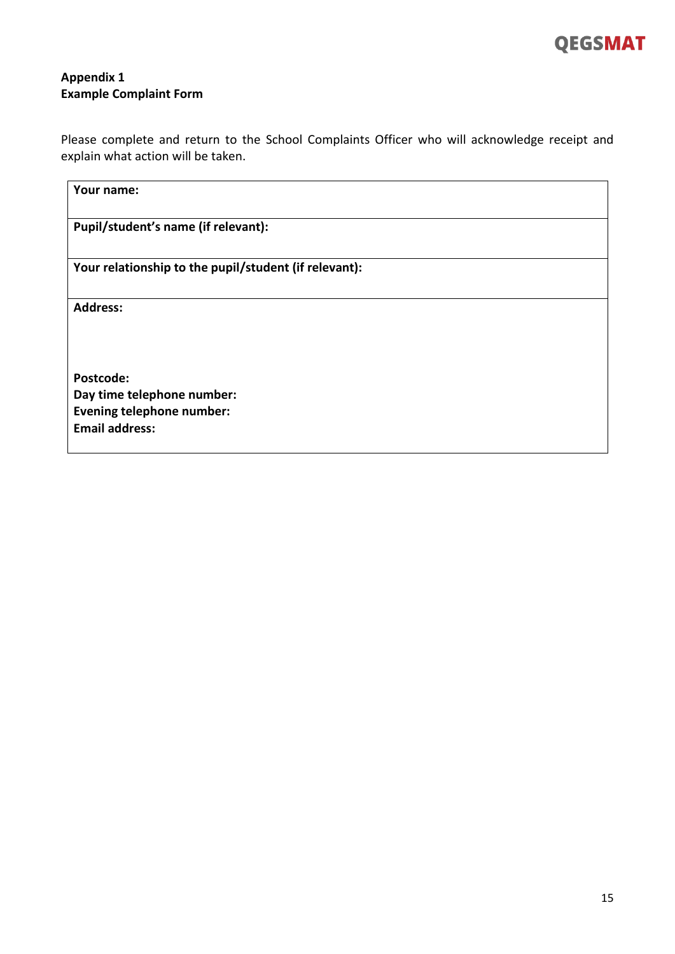

# **Appendix 1 Example Complaint Form**

Please complete and return to the School Complaints Officer who will acknowledge receipt and explain what action will be taken.

| Your name:                                            |  |
|-------------------------------------------------------|--|
| Pupil/student's name (if relevant):                   |  |
| Your relationship to the pupil/student (if relevant): |  |
| <b>Address:</b>                                       |  |
| Postcode:                                             |  |
| Day time telephone number:                            |  |
| <b>Evening telephone number:</b>                      |  |
| <b>Email address:</b>                                 |  |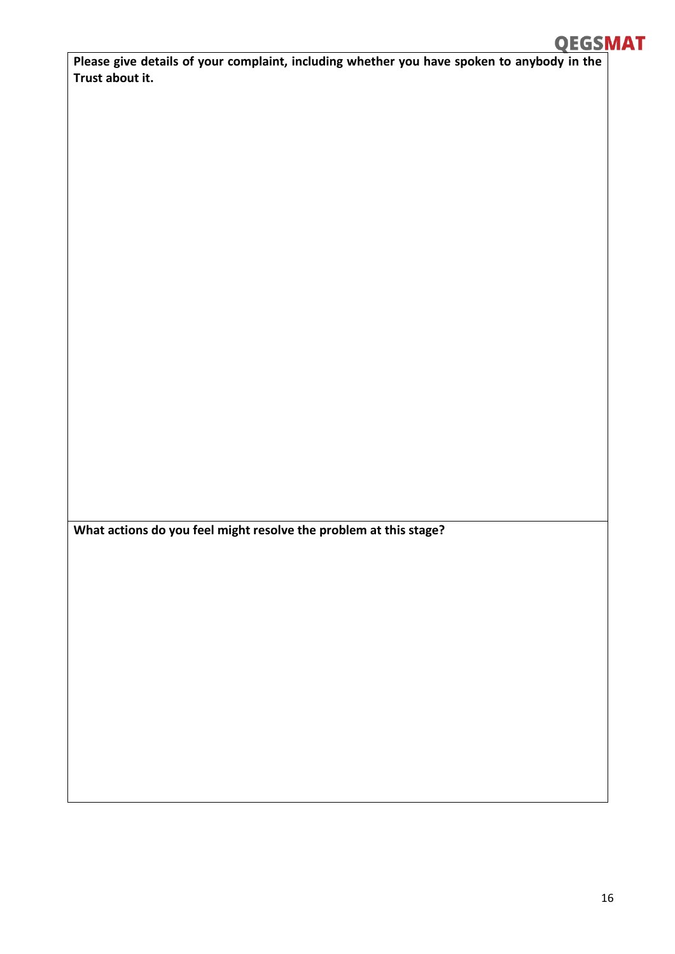# **QEGSMAT**

**Please give details of your complaint, including whether you have spoken to anybody in the Trust about it.**

**What actions do you feel might resolve the problem at this stage?**